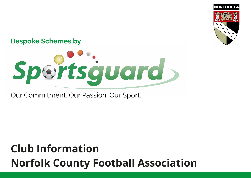

## **Bespoke Schemes by**



Our Commitment. Our Passion. Our Sport.

## **Club Information Norfolk County Football Association**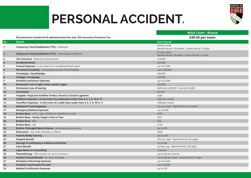## **PERSONAL ACCIDENT.**



|                         |                                                                                    | <b>Adult Cover - Bronze</b>                                        |
|-------------------------|------------------------------------------------------------------------------------|--------------------------------------------------------------------|
|                         | All premiums Include £4.25 administration fee and 12% Insurance Premium Tax        | £49.50 per team                                                    |
| No.                     | <b>Benefit</b>                                                                     | <b>Sum Insured</b>                                                 |
| $\mathbf{1}$            | <b>Temporary Total Disablement (TTD)</b> - Employed                                | £30 per week<br>Benefit Period: 104 weeks - Excess Period: 14 days |
| $\overline{\mathbf{2}}$ | <b>Temporary Total Disablement (TTD)</b> - Unemployed / Students                   | £15 per week<br>Benefit Period: 26 weeks - Excess Period: 14 days  |
| 3                       | Life Insurance - death by natural causes                                           | £10,000                                                            |
| $\boldsymbol{4}$        | <b>Accidental Death</b>                                                            | £20,000                                                            |
| 5                       | Funeral Expenses - in the event of an Accidental Death claim                       | up to $£1,000$                                                     |
| 6                       | Permanent Disability - Including Permanent Total Disability                        | up to £40,000                                                      |
| $\overline{7}$          | Tetraplegia / Quadriplegia                                                         | £40,000                                                            |
| 8                       | Triplegia / Paraplegia                                                             | £20,000                                                            |
| 9                       | <b>Disability Assistance Expenses</b>                                              | up to £5,000                                                       |
| 10                      | Permanent Loss of sight, limbs, speech, organ                                      | £20,000                                                            |
| 11                      | <b>Permanent Loss of hearing</b>                                                   | Both Ears: £20,000 - One Ear: £8,000                               |
| 12                      | Concussion                                                                         | £2,500                                                             |
| 13                      | Snapped / Ruptured Achillies Tendon, Anterior Cruciate Ligament                    | £250                                                               |
| 14                      | Childcare Expenses - in the event of a valid claim under item 4, 6, 7, 8, 10 or 11 | £400 per month                                                     |
| 15                      | Chauffeur Expenses - in the event of a valid claim under item 4, 6, 7, 8, 10 or 11 | £400 per month                                                     |
| 16                      | <b>Additional Travel Expenses</b>                                                  | £25 per week - Benefit Period: 4 weeks                             |
| 17                      | <b>Emergency Medical Expenses</b>                                                  | up to £500                                                         |
| 18                      | Broken Bone - Arms, Legs, Collarbone, Cheekbone or Jaw                             | £200                                                               |
| 19                      | Broken Bone - Hands, Fingers, Feet or Toes                                         | £50                                                                |
| 20                      | <b>Broken Bone - Ribs</b>                                                          | £50                                                                |
| 21                      | Broken Bone - Hip                                                                  | £150                                                               |
| 22                      | Broken / Damaged Sports Glasses - prescription glasses only                        | up to $£50$                                                        |
| 23                      | <b>Dislocation</b> - Hip, Knee, Shoulder or Elbow                                  | £200                                                               |
| 24                      | <b>Facial &amp; Bodily Scarring</b>                                                | up to $£250$                                                       |
| 25                      | <b>Hospital Benefit</b>                                                            | £25 per night - Benefit Period: 30 nights                          |
| 26                      | Damage to clothing by a medical practitioner                                       | up to £50                                                          |
| 27                      | <b>Coma Benefit</b>                                                                | £25 per day - Benefit Period: 365 days                             |
| 28                      | <b>Legal Advice or Counselling</b>                                                 | Covered                                                            |
| 29                      | Physiotherapy - 50% of costs for up to 6 sessions                                  | up to £40 per session                                              |
| 30                      | Student Tutorial Benefit - for up to 26 weeks                                      | up to £35 per week - Excess Period: 7 days                         |
| 31                      | <b>Workplace Retraining Expenses</b>                                               | up to £2,500                                                       |
| 32                      | <b>Academic Examination Re-take</b>                                                | up to £2,500                                                       |
| 33                      | <b>Medical Certification Expenses</b>                                              | up to £50                                                          |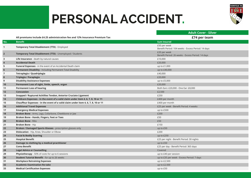## **PERSONAL ACCIDENT.**



|                |                                                                                    | <b>Adult Cover - Silver</b>                                        |
|----------------|------------------------------------------------------------------------------------|--------------------------------------------------------------------|
|                | All premiums Include £4.25 administration fee and 12% Insurance Premium Tax        | £74 per team                                                       |
| No.            | <b>Benefit</b>                                                                     | <b>Sum Insured</b>                                                 |
| $\mathbf{1}$   | Temporary Total Disablement (TTD) - Employed                                       | £50 per week<br>Benefit Period: 104 weeks - Excess Period: 14 days |
| $\overline{2}$ | Temporary Total Disablement (TTD) - Unemployed / Students                          | £20 per week<br>Benefit Period: 26 weeks - Excess Period: 14 days  |
| 3              | Life Insurance - death by natural causes                                           | £10,000                                                            |
| $\overline{4}$ | <b>Accidental Death</b>                                                            | £20,000                                                            |
| 5              | Funeral Expenses - in the event of an Accidental Death claim                       | up to £1,000                                                       |
| 6              | Permanent Disability - Including Permanent Total Disability                        | up to £40,000                                                      |
| $\overline{7}$ | Tetraplegia / Quadriplegia                                                         | £40,000                                                            |
| 8              | Triplegia / Paraplegia                                                             | £20,000                                                            |
| 9              | <b>Disability Assistance Expenses</b>                                              | up to £5,000                                                       |
| 10             | Permanent Loss of sight, limbs, speech, organ                                      | £20,000                                                            |
| 11             | <b>Permanent Loss of hearing</b>                                                   | Both Ears: £20,000 - One Ear: £8,000                               |
| 12             | Concussion                                                                         | £2,500                                                             |
| 13             | Snapped / Ruptured Achillies Tendon, Anterior Cruciate Ligament                    | £250                                                               |
| 14             | Childcare Expenses - in the event of a valid claim under item 4, 6, 7, 8, 10 or 11 | £400 per month                                                     |
| 15             | Chauffeur Expenses - in the event of a valid claim under item 4, 6, 7, 8, 10 or 11 | £400 per month                                                     |
| 16             | <b>Additional Travel Expenses</b>                                                  | £25 per week - Benefit Period: 4 weeks                             |
| 17             | <b>Emergency Medical Expenses</b>                                                  | up to £500                                                         |
| 18             | Broken Bone - Arms, Legs, Collarbone, Cheekbone or Jaw                             | £200                                                               |
| 19             | Broken Bone - Hands, Fingers, Feet or Toes                                         | £50                                                                |
| 20             | <b>Broken Bone - Ribs</b>                                                          | £50                                                                |
| 21             | <b>Broken Bone - Hip</b>                                                           | £150                                                               |
| 22             | Broken / Damaged Sports Glasses - prescription glasses only                        | up to $£50$                                                        |
| 23             | Dislocation - Hip, Knee, Shoulder or Elbow                                         | £200                                                               |
| 24             | <b>Facial &amp; Bodily Scarring</b>                                                | up to $£250$                                                       |
| 25             | <b>Hospital Benefit</b>                                                            | £25 per night - Benefit Period: 30 nights                          |
| 26             | Damage to clothing by a medical practitioner                                       | up to £50                                                          |
| 27             | <b>Coma Benefit</b>                                                                | £25 per day - Benefit Period: 365 days                             |
| 28             | <b>Legal Advice or Counselling</b>                                                 | Covered                                                            |
| 29             | <b>Physiotherapy</b> - 50% of costs for up to 6 sessions                           | up to £40 per session                                              |
| 30             | <b>Student Tutorial Benefit</b> - for up to 26 weeks                               | up to £35 per week - Excess Period: 7 days                         |
| 31             | <b>Workplace Retraining Expenses</b>                                               | up to £2,500                                                       |
| 32             | <b>Academic Examination Re-take</b>                                                | up to £2,500                                                       |
| 33             | <b>Medical Certification Expenses</b>                                              | up to £50                                                          |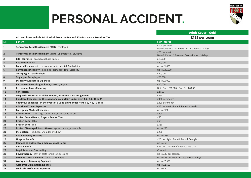## **PERSONAL ACCIDENT.**



|                |                                                                                    | <b>Adult Cover - Gold</b>                                           |
|----------------|------------------------------------------------------------------------------------|---------------------------------------------------------------------|
|                | All premiums Include £4.25 administration fee and 12% Insurance Premium Tax        | £125 per team                                                       |
| No.            | <b>Benefit</b>                                                                     | <b>Sum Insured</b>                                                  |
| $\mathbf{1}$   | Temporary Total Disablement (TTD) - Employed                                       | £100 per week<br>Benefit Period: 104 weeks - Excess Period: 14 days |
| $\overline{2}$ | Temporary Total Disablement (TTD) - Unemployed / Students                          | £20 per week<br>Benefit Period: 26 weeks - Excess Period: 14 days   |
| 3              | Life Insurance - death by natural causes                                           | £10,000                                                             |
| $\overline{4}$ | <b>Accidental Death</b>                                                            | £20,000                                                             |
| 5              | Funeral Expenses - in the event of an Accidental Death claim                       | up to £1,000                                                        |
| 6              | Permanent Disability - Including Permanent Total Disability                        | up to £40,000                                                       |
| $\overline{7}$ | Tetraplegia / Quadriplegia                                                         | £40,000                                                             |
| 8              | Triplegia / Paraplegia                                                             | £20,000                                                             |
| 9              | <b>Disability Assistance Expenses</b>                                              | up to £5,000                                                        |
| 10             | Permanent Loss of sight, limbs, speech, organ                                      | £20,000                                                             |
| 11             | <b>Permanent Loss of hearing</b>                                                   | Both Ears: £20,000 - One Ear: £8,000                                |
| 12             | Concussion                                                                         | £2,500                                                              |
| 13             | Snapped / Ruptured Achillies Tendon, Anterior Cruciate Ligament                    | £250                                                                |
| 14             | Childcare Expenses - in the event of a valid claim under item 4, 6, 7, 8, 10 or 11 | £400 per month                                                      |
| 15             | Chauffeur Expenses - in the event of a valid claim under item 4, 6, 7, 8, 10 or 11 | £400 per month                                                      |
| 16             | <b>Additional Travel Expenses</b>                                                  | £25 per week - Benefit Period: 4 weeks                              |
| 17             | <b>Emergency Medical Expenses</b>                                                  | up to £500                                                          |
| 18             | Broken Bone - Arms, Legs, Collarbone, Cheekbone or Jaw                             | £200                                                                |
| 19             | Broken Bone - Hands, Fingers, Feet or Toes                                         | £50                                                                 |
| 20             | <b>Broken Bone - Ribs</b>                                                          | £50                                                                 |
| 21             | <b>Broken Bone - Hip</b>                                                           | £150                                                                |
| 22             | <b>Broken / Damaged Sports Glasses</b> - prescription glasses only                 | up to £50                                                           |
| 23             | <b>Dislocation</b> - Hip, Knee, Shoulder or Elbow                                  | £200                                                                |
| 24             | <b>Facial &amp; Bodily Scarring</b>                                                | up to £250                                                          |
| 25             | <b>Hospital Benefit</b>                                                            | £25 per night - Benefit Period: 30 nights                           |
| 26             | Damage to clothing by a medical practitioner                                       | up to £50                                                           |
| 27             | <b>Coma Benefit</b>                                                                | £25 per day - Benefit Period: 365 days                              |
| 28             | <b>Legal Advice or Counselling</b>                                                 | Covered                                                             |
| 29             | <b>Physiotherapy</b> - 50% of costs for up to 6 sessions                           | up to £40 per session                                               |
| 30             | <b>Student Tutorial Benefit</b> - for up to 26 weeks                               | up to £35 per week - Excess Period: 7 days                          |
| 31             | <b>Workplace Retraining Expenses</b>                                               | up to £2,500                                                        |
| 32             | <b>Academic Examination Re-take</b>                                                | up to £2,500                                                        |
| 33             | <b>Medical Certification Expenses</b>                                              | up to £50                                                           |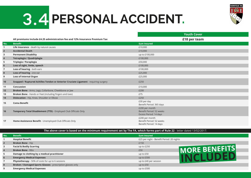# **3.4 PERSONAL ACCIDENT.**



|                |                                                                                      | <b>Youth Cover</b>                                                    |
|----------------|--------------------------------------------------------------------------------------|-----------------------------------------------------------------------|
|                | All premiums Include £4.25 administration fee and 12% Insurance Premium Tax          | £18 per team                                                          |
| No.            | <b>Benefit</b>                                                                       | <b>Sum Insured</b>                                                    |
| 1              | Life Insurance - death by natural causes                                             | £10,000                                                               |
| $\overline{2}$ | <b>Accidental Death</b>                                                              | £10,000                                                               |
| 3              | <b>Permanent Disability</b>                                                          | up to £100,000                                                        |
| $\overline{4}$ | Tetraplegia / Quadriplegia                                                           | £100,000                                                              |
| 5              | Triplegia / Paraplegia                                                               | £50,000                                                               |
| 6              | Loss of sight, limbs, speech                                                         | £100,000                                                              |
| $\overline{7}$ | Loss of hearing - both ears                                                          | £100,000                                                              |
| 8              | Loss of hearing - one ear                                                            | £25,000                                                               |
| 9              | <b>Loss of Internal Organ</b>                                                        | £25,000                                                               |
| 10             | Snapped / Ruptured Achilles Tendon or Anterior Cruciate Ligament - requiring surgery | £250                                                                  |
| 11             | <b>Concussion</b>                                                                    | £10,000                                                               |
| 12             | Broken Bone - Arms, Legs, Collarbone, Cheekbone or Jaw                               | £200                                                                  |
| 13             | Broken Bone - Hands or Feet (including fingers and toes)                             | £75                                                                   |
| 14             | Dislocation - Hip, Knee, Shoulder or Elbow                                           | £250                                                                  |
| 15             | <b>Coma Benefit</b>                                                                  | £30 per day<br>Benefit Period: 365 days                               |
| 16             | Temporary Total Disablement (TTD) - Employed Club Officials Only                     | £200 per month<br>Benefit Period: 52 weeks<br>Excess Period: 14 days  |
| 17             | Home Assistance Benefit - Unemployed Club Officials Only                             | £200 per month<br>Benefit Period: 52 weeks<br>Benefit Period: 14 days |

#### **The above cover is based on the minimum requirement set by The FA, which forms part of Rule 22** - letter dated 13/02/2017.

| l No.          | <b>Benefit</b>                                              | <b>Sum Insured</b>                        |
|----------------|-------------------------------------------------------------|-------------------------------------------|
|                | <b>Hospital Benefit</b>                                     | £25 per night - Benefit Period: 20 nights |
| $\overline{2}$ | <b>Broken Bone - Hip</b>                                    | £150                                      |
|                | <b>Facial &amp; Bodily Scarring</b>                         | up to $£250$                              |
|                | <b>Broken Bone - Ribs</b>                                   | MORE BENEFITS<br>£50                      |
|                | Damage to clothing by a medical practitioner                | up to $£50$                               |
| 6              | <b>Emergency Medical Expenses</b>                           | up to $£500$                              |
|                | Physiotherapy - 50% of costs for up to 6 sessions           | up to £40 per session                     |
| 8              | Broken / Damaged Sports Glasses - prescription glasses only | up to £50                                 |
|                | <b>Emergency Medical Expenses</b>                           | up to $£500$                              |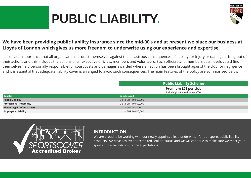# **PUBLIC LIABILITY.**



## **We have been providing public liability insurance since the mid-90's and at present we place our business at Lloyds of London which gives us more freedom to underwrite using our experience and expertise.**

It is of vital importance that all organisations protect themselves against the disastrous consequences of liability for injury or damage arising out of their actions and this includes the actions of all-executive officials, members and volunteers. Such officials and members at all levels could find themselves held personally responsible for court costs and damages awarded where an action has been brought against the club for negligence and it is essential that adequate liability cover is arranged to avoid such consequences. The main features of the policy are summarised below.

|                                   | <b>Public Liability Scheme</b>                                 |
|-----------------------------------|----------------------------------------------------------------|
|                                   | <b>Premium £21 per club</b><br>Including Insurance Premium Tax |
| <b>Benefit</b>                    | <b>Sum Insured</b>                                             |
| <b>Public Liability</b>           | Up to GBP 10,000,000                                           |
| <b>Professional Indemnity</b>     | Up to GBP 10,000,000                                           |
| <b>Player Legal Defence Costs</b> | Up to GBP 250,000                                              |
| <b>Employers Liability</b>        | Up to GBP 10,000,000                                           |



### **INTRODUCTION**

We are proud to be working with our newly appointed lead underwriter for our sports public liability products. We have achieved "Accredited Broker" status and we will continue to make sure we meet your sports public liability insurance expectations.